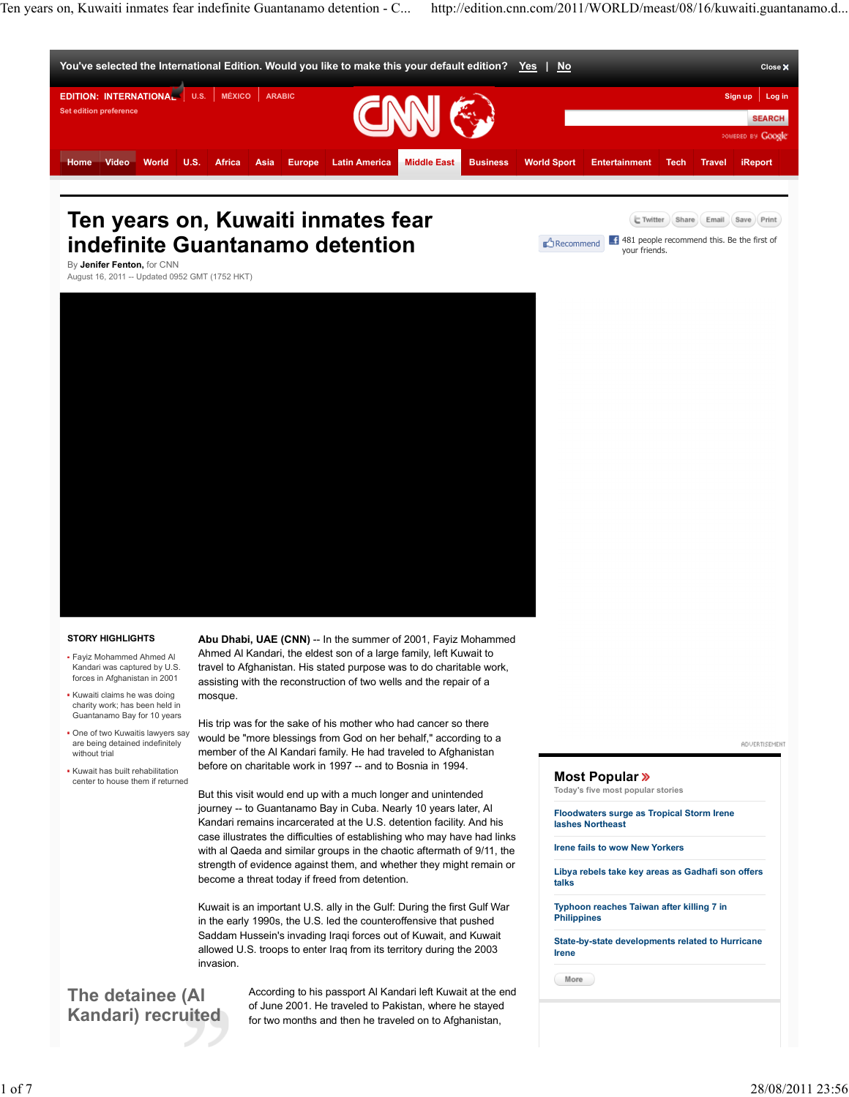Ten years on, Kuwaiti inmates fear indefinite Guantanamo detention - C... http://edition.cnn.com/2011/WORLD/meast/08/16/kuwaiti.guantanamo.d...

Recommend  $\begin{array}{|c|c|c|c|}\hline \end{array}$  481 people recommend this. Be the first of your friends.

E Twitter (Share Email (Save Print)



# **Ten years on, Kuwaiti inmates fear indefinite Guantanamo detention**

By **Jenifer Fenton,** for CNN August 16, 2011 -- Updated 0952 GMT (1752 HKT)



### **STORY HIGHLIGHTS**

- Fayiz Mohammed Ahmed Al Kandari was captured by U.S. forces in Afghanistan in 2001
- Kuwaiti claims he was doing charity work; has been held in Guantanamo Bay for 10 years
- One of two Kuwaitis lawyers say are being detained indefinitely without trial
- Kuwait has built rehabilitation center to house them if returned

Abu Dhabi, UAE (CNN) -- In the summer of 2001, Fayiz Mohammed Ahmed Al Kandari, the eldest son of a large family, left Kuwait to travel to Afghanistan. His stated purpose was to do charitable work, assisting with the reconstruction of two wells and the repair of a mosque.

His trip was for the sake of his mother who had cancer so there would be "more blessings from God on her behalf," according to a member of the Al Kandari family. He had traveled to Afghanistan before on charitable work in 1997 -- and to Bosnia in 1994.

But this visit would end up with a much longer and unintended journey -- to Guantanamo Bay in Cuba. Nearly 10 years later, Al Kandari remains incarcerated at the U.S. detention facility. And his case illustrates the difficulties of establishing who may have had links with al Qaeda and similar groups in the chaotic aftermath of 9/11, the strength of evidence against them, and whether they might remain or become a threat today if freed from detention.

Kuwait is an important U.S. ally in the Gulf: During the first Gulf War in the early 1990s, the U.S. led the counteroffensive that pushed Saddam Hussein's invading Iraqi forces out of Kuwait, and Kuwait allowed U.S. troops to enter Iraq from its territory during the 2003 invasion.

### **The detainee (Al Kandari) recruited**

According to his passport Al Kandari left Kuwait at the end of June 2001. He traveled to Pakistan, where he stayed for two months and then he traveled on to Afghanistan,

#### **ADVERTISEMENT**

### **Most Popular**

**Today's five most popular stories**

**Floodwaters surge as Tropical Storm Irene lashes Northeast**

**Irene fails to wow New Yorkers**

**Libya rebels take key areas as Gadhafi son offers talks**

**Typhoon reaches Taiwan after killing 7 in Philippines**

**State-by-state developments related to Hurricane Irene**

(More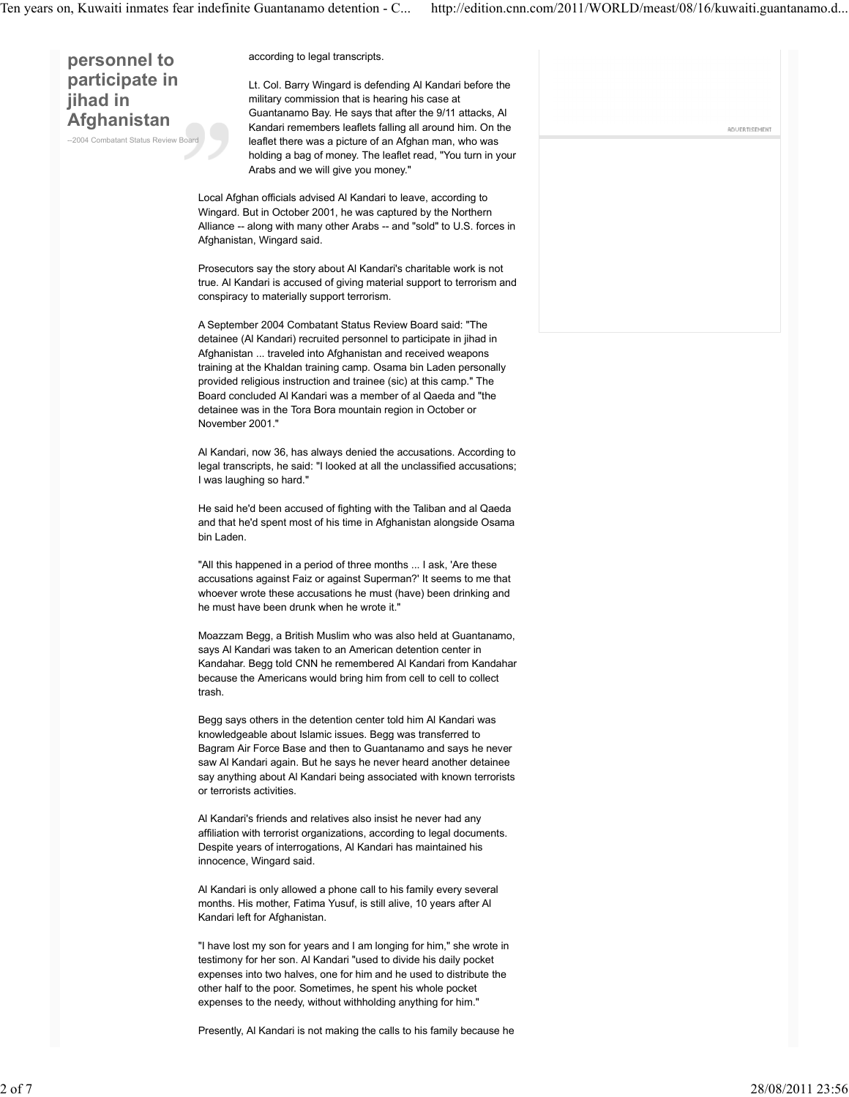**personnel to participate in jihad in Afghanistan**

--2004 Combatant Status Review Bo

according to legal transcripts.

Lt. Col. Barry Wingard is defending Al Kandari before the military commission that is hearing his case at Guantanamo Bay. He says that after the 9/11 attacks, Al Kandari remembers leaflets falling all around him. On the leaflet there was a picture of an Afghan man, who was holding a bag of money. The leaflet read, "You turn in your Arabs and we will give you money."

Local Afghan officials advised Al Kandari to leave, according to Wingard. But in October 2001, he was captured by the Northern Alliance -- along with many other Arabs -- and "sold" to U.S. forces in Afghanistan, Wingard said.

Prosecutors say the story about Al Kandari's charitable work is not true. Al Kandari is accused of giving material support to terrorism and conspiracy to materially support terrorism.

A September 2004 Combatant Status Review Board said: "The detainee (Al Kandari) recruited personnel to participate in jihad in Afghanistan ... traveled into Afghanistan and received weapons training at the Khaldan training camp. Osama bin Laden personally provided religious instruction and trainee (sic) at this camp." The Board concluded Al Kandari was a member of al Qaeda and "the detainee was in the Tora Bora mountain region in October or November 2001."

Al Kandari, now 36, has always denied the accusations. According to legal transcripts, he said: "I looked at all the unclassified accusations; I was laughing so hard."

He said he'd been accused of fighting with the Taliban and al Qaeda and that he'd spent most of his time in Afghanistan alongside Osama bin Laden.

"All this happened in a period of three months ... I ask, 'Are these accusations against Faiz or against Superman?' It seems to me that whoever wrote these accusations he must (have) been drinking and he must have been drunk when he wrote it."

Moazzam Begg, a British Muslim who was also held at Guantanamo, says Al Kandari was taken to an American detention center in Kandahar. Begg told CNN he remembered Al Kandari from Kandahar because the Americans would bring him from cell to cell to collect trash.

Begg says others in the detention center told him Al Kandari was knowledgeable about Islamic issues. Begg was transferred to Bagram Air Force Base and then to Guantanamo and says he never saw Al Kandari again. But he says he never heard another detainee say anything about Al Kandari being associated with known terrorists or terrorists activities.

Al Kandari's friends and relatives also insist he never had any affiliation with terrorist organizations, according to legal documents. Despite years of interrogations, Al Kandari has maintained his innocence, Wingard said.

Al Kandari is only allowed a phone call to his family every several months. His mother, Fatima Yusuf, is still alive, 10 years after Al Kandari left for Afghanistan.

"I have lost my son for years and I am longing for him," she wrote in testimony for her son. Al Kandari "used to divide his daily pocket expenses into two halves, one for him and he used to distribute the other half to the poor. Sometimes, he spent his whole pocket expenses to the needy, without withholding anything for him."

Presently, Al Kandari is not making the calls to his family because he

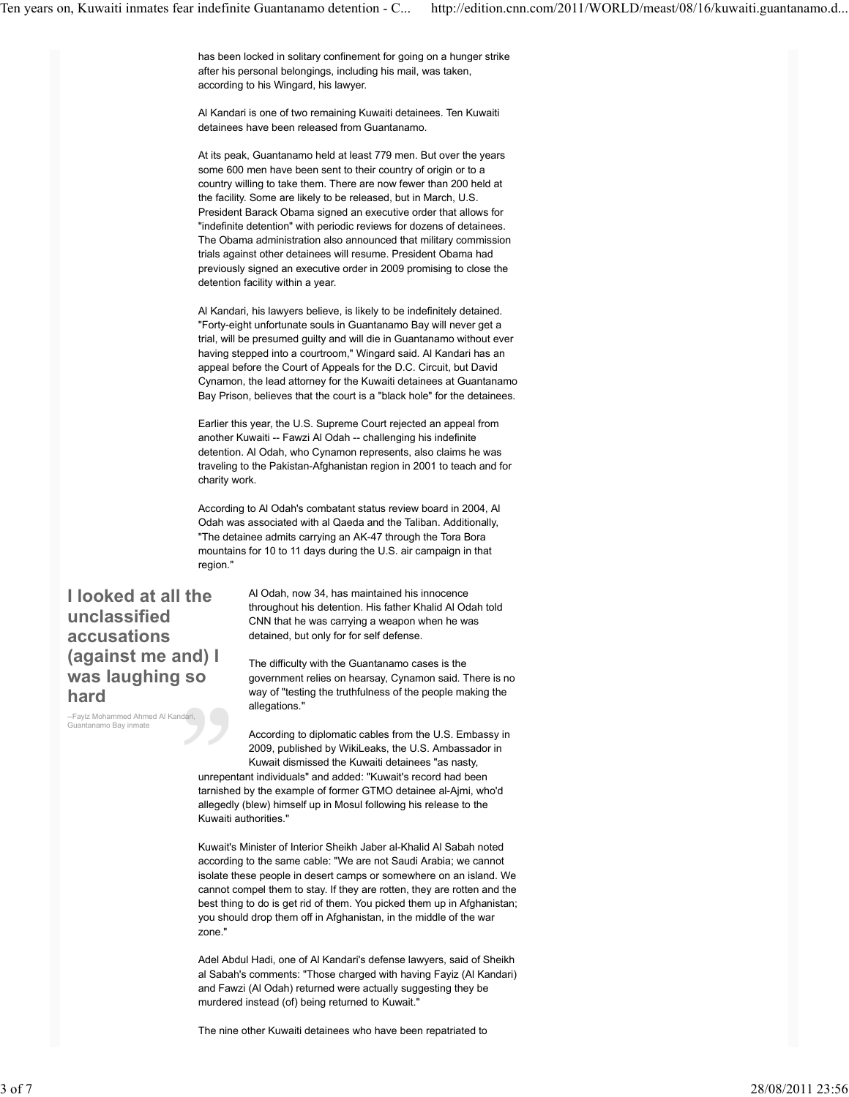has been locked in solitary confinement for going on a hunger strike after his personal belongings, including his mail, was taken, according to his Wingard, his lawyer.

Al Kandari is one of two remaining Kuwaiti detainees. Ten Kuwaiti detainees have been released from Guantanamo.

At its peak, Guantanamo held at least 779 men. But over the years some 600 men have been sent to their country of origin or to a country willing to take them. There are now fewer than 200 held at the facility. Some are likely to be released, but in March, U.S. President Barack Obama signed an executive order that allows for "indefinite detention" with periodic reviews for dozens of detainees. The Obama administration also announced that military commission trials against other detainees will resume. President Obama had previously signed an executive order in 2009 promising to close the detention facility within a year.

Al Kandari, his lawyers believe, is likely to be indefinitely detained. "Forty-eight unfortunate souls in Guantanamo Bay will never get a trial, will be presumed guilty and will die in Guantanamo without ever having stepped into a courtroom," Wingard said. Al Kandari has an appeal before the Court of Appeals for the D.C. Circuit, but David Cynamon, the lead attorney for the Kuwaiti detainees at Guantanamo Bay Prison, believes that the court is a "black hole" for the detainees.

Earlier this year, the U.S. Supreme Court rejected an appeal from another Kuwaiti -- Fawzi Al Odah -- challenging his indefinite detention. Al Odah, who Cynamon represents, also claims he was traveling to the Pakistan-Afghanistan region in 2001 to teach and for charity work.

According to Al Odah's combatant status review board in 2004, Al Odah was associated with al Qaeda and the Taliban. Additionally, "The detainee admits carrying an AK-47 through the Tora Bora mountains for 10 to 11 days during the U.S. air campaign in that region."

## **I looked at all the unclassified accusations (against me and) I was laughing so hard**

--Fayiz Mohammed Ahmed Al K Guantanamo Bay inmate

Al Odah, now 34, has maintained his innocence throughout his detention. His father Khalid Al Odah told CNN that he was carrying a weapon when he was detained, but only for for self defense.

The difficulty with the Guantanamo cases is the government relies on hearsay, Cynamon said. There is no way of "testing the truthfulness of the people making the allegations."

According to diplomatic cables from the U.S. Embassy in 2009, published by WikiLeaks, the U.S. Ambassador in Kuwait dismissed the Kuwaiti detainees "as nasty, unrepentant individuals" and added: "Kuwait's record had been tarnished by the example of former GTMO detainee al-Ajmi, who'd allegedly (blew) himself up in Mosul following his release to the Kuwaiti authorities."

Kuwait's Minister of Interior Sheikh Jaber al-Khalid Al Sabah noted according to the same cable: "We are not Saudi Arabia; we cannot isolate these people in desert camps or somewhere on an island. We cannot compel them to stay. If they are rotten, they are rotten and the best thing to do is get rid of them. You picked them up in Afghanistan; you should drop them off in Afghanistan, in the middle of the war zone."

Adel Abdul Hadi, one of Al Kandari's defense lawyers, said of Sheikh al Sabah's comments: "Those charged with having Fayiz (Al Kandari) and Fawzi (Al Odah) returned were actually suggesting they be murdered instead (of) being returned to Kuwait."

The nine other Kuwaiti detainees who have been repatriated to